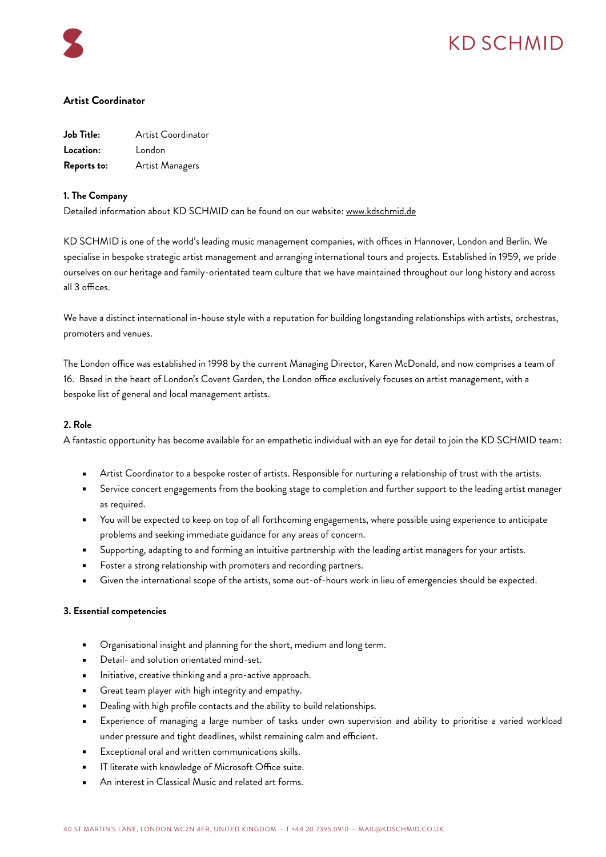

# KD SCHMID

## **Artist Coordinator**

| Job Title:  | Artist Coordinator |
|-------------|--------------------|
| Location:   | London             |
| Reports to: | Artist Managers    |

## **1. The Company**

Detailed information about KD SCHMID can be found on our website: [www.kdschmid.de](http://www.kdschmid.de)

KD SCHMID is one of the world's leading music management companies, with offices in Hannover, London and Berlin. We specialise in bespoke strategic artist management and arranging international tours and projects. Established in 1959, we pride ourselves on our heritage and family-orientated team culture that we have maintained throughout our long history and across all 3 offices.

We have a distinct international in-house style with a reputation for building longstanding relationships with artists, orchestras, promoters and venues.

The London office was established in 1998 by the current Managing Director, Karen McDonald, and now comprises a team of 16. Based in the heart of London's Covent Garden, the London office exclusively focuses on artist management, with a bespoke list of general and local management artists.

### **2. Role**

A fantastic opportunity has become available for an empathetic individual with an eye for detail to join the KD SCHMID team:

- Artist Coordinator to a bespoke roster of artists. Responsible for nurturing a relationship of trust with the artists.
- Service concert engagements from the booking stage to completion and further support to the leading artist manager as required.
- You will be expected to keep on top of all forthcoming engagements, where possible using experience to anticipate problems and seeking immediate guidance for any areas of concern.
- Supporting, adapting to and forming an intuitive partnership with the leading artist managers for your artists.
- Foster a strong relationship with promoters and recording partners.
- Given the international scope of the artists, some out-of-hours work in lieu of emergencies should be expected.

#### **3. Essential competencies**

- Organisational insight and planning for the short, medium and long term.
- Detail- and solution orientated mind-set.
- Initiative, creative thinking and a pro-active approach.
- Great team player with high integrity and empathy.
- Dealing with high profile contacts and the ability to build relationships.
- Experience of managing a large number of tasks under own supervision and ability to prioritise a varied workload under pressure and tight deadlines, whilst remaining calm and efficient.
- Exceptional oral and written communications skills.
- IT literate with knowledge of Microsoft Office suite.
- An interest in Classical Music and related art forms.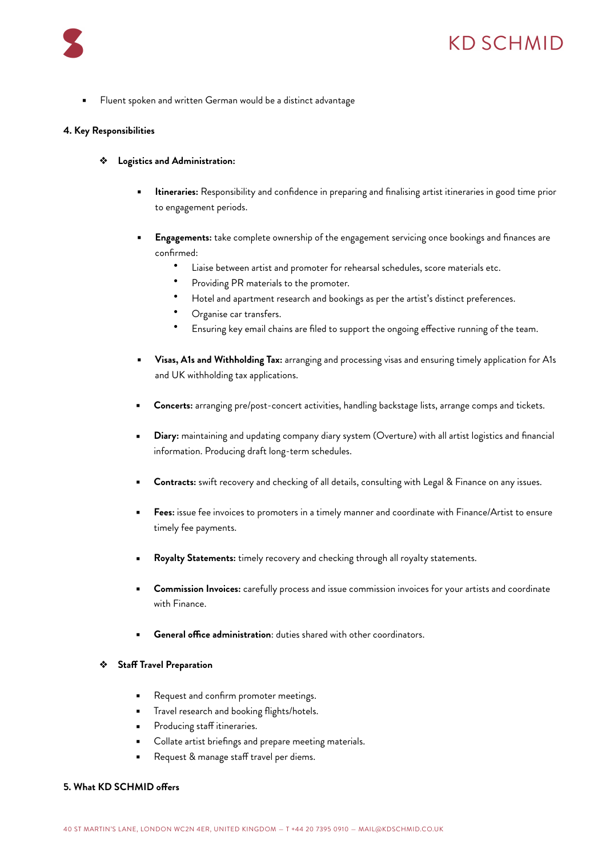

## KD SCHMID

Fluent spoken and written German would be a distinct advantage

#### **4. Key Responsibilities**

- ❖ **Logistics and Administration:**
	- Itineraries: Responsibility and confidence in preparing and finalising artist itineraries in good time prior to engagement periods.
	- **Engagements:** take complete ownership of the engagement servicing once bookings and finances are confirmed:
		- Liaise between artist and promoter for rehearsal schedules, score materials etc.
		- Providing PR materials to the promoter.
		- Hotel and apartment research and bookings as per the artist's distinct preferences.
		- Organise car transfers.
		- Ensuring key email chains are filed to support the ongoing effective running of the team.
	- **Visas, A1s and Withholding Tax:** arranging and processing visas and ensuring timely application for A1s and UK withholding tax applications.
	- Concerts: arranging pre/post-concert activities, handling backstage lists, arrange comps and tickets.
	- **Diary:** maintaining and updating company diary system (Overture) with all artist logistics and financial information. Producing draft long-term schedules.
	- Contracts: swift recovery and checking of all details, consulting with Legal & Finance on any issues.
	- Fees: issue fee invoices to promoters in a timely manner and coordinate with Finance/Artist to ensure timely fee payments.
	- Royalty Statements: timely recovery and checking through all royalty statements.
	- **Commission Invoices:** carefully process and issue commission invoices for your artists and coordinate with Finance.
	- **General office administration:** duties shared with other coordinators.

#### ❖ **Staff Travel Preparation**

- Request and confirm promoter meetings.
- Travel research and booking flights/hotels.
- Producing staff itineraries.
- Collate artist briefings and prepare meeting materials.
- Request & manage staff travel per diems.

#### **5. What KD SCHMID offers**